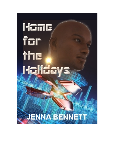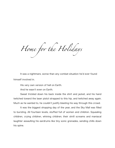*Home for the Holidays*

It was a nightmare, worse than any combat situation he'd ever found himself involved in.

His very own version of hell on Earth.

And he wasn't even on Earth.

Sweat trickled down his back inside the shirt and jacket, and his hand twitched toward the laser pistol strapped to this hip, and twitched away again. Much as he wanted to, he couldn't justify blasting his way through this crowd.

It was the biggest shopping day of the year, and the Sky Mall was filled to bursting. All fourteen levels, stuffed full of women and children. Squealing children, crying children, whining children; their shrill screams and maniacal laughter assaulting his eardrums like tiny sonic grenades, sending chills down his spine.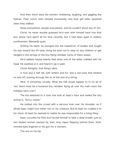And then there were the women: chattering, laughing, and giggling like hyenas. Their comm links chirped incessantly, and their gel soles squished when they walked.

Noise everywhere, people everywhere, and he couldn't shoot any of 'em.

Christ, he never woulda guessed he'd ever wish himself back into that box where he'd spent all his time recently, but it had been quiet in solitary confinement. Blessedly quiet.

Gritting his teeth, he plunged into the maelstrom of bodies and fought his way toward the lift tube, doing his best not to step on any children or get tangled in the strings of the tiny flying reindeer some of them towed.

He'd walked maybe twenty feet when one of the latter collided with his head. He swatted at it, and heard it yip in pain.

Christ Almighty, that thing's alive.

A foot and a half tall, with antlers and fur, and a red nose that blinked on and off, soaring through the air at the end of a string.

Alive. A Christmas novelty. What the hell would happen to it—to all of 'em; there must be a hundred tiny reindeer flying all over the mall̶once the holidays were over?

The kid attached to it took one look at Isaac's face and reeled the tiny animal in. "Sorry, mister."

He melted into the crowd with a nervous look over his shoulder, as if afraid Isaac might hurt either him or his creature. But at least he cradled it to his chest. At least he seemed to realize he was responsible for a living thing.

Isaac uncurled his fists and forced himself to take a deep breath, just as two Kedarii women passed by, their long capes flapping behind them. Kohlrimmed eyes lingered on his gun for a moment.

The one on his hip.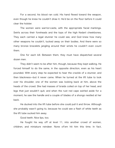For a second, his blood ran cold. His hand flexed toward the weapon, even though he knew he couldn't draw it. He'd be on the floor before it could clear the holster.

The women were warrior-caste, with the appropriate facial markings. Swirls across their foreheads and the tops of the high Kedarii cheekbones. They each carried a legal stunner he could see, and God knew how many other weapons he couldn't, tucked away on their bodies. And there were so many bronze bracelets jangling around their wrists he couldn't even count them.

One for each kill. Between them, they must have dispatched several dozen men.

They didn't seem to be after him, though, because they kept walking. He forced himself to do the same, in the opposite direction, even as his heart pounded. With every step he expected to hear the crackle of a stunner, and then blackness̶but it never came. When he turned at the lift tube to look over his shoulder, one of the women was looking back at him, above the heads of the crowd. She had masses of braids coiled on top of her head, and legs that just wouldn't quit, and when the rust red cape swirled aside for a moment, he saw the handle and a couple of blades of a shongo nestled at her back.

He ducked into the lift tube before she could pull it and throw. Although she probably wasn't going to, because he could see a flash of white teeth as the lift tube sucked him away.

Good teeth. Nice lips, too.

He fought his way off at level 11, into another crowd of women, children, and miniature reindeer. None of'em hit him this time. In fact,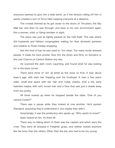everyone seemed to give him a wide berth, as if the tension rolling off him in waves created a sort of force field, keeping everyone at a distance.

The crowds thinned as he got closer to the doors of Thrusters, the Sky Mall bar, and then he was through, and back in his own environment again. Not a woman, child, or flying reindeer in sight.

The place was just as tightly packed as the mall itself. This was where the husbands and fathers congregated, waiting for their domestic partners and children to finish holiday shopping.

Not the kind of bar he was used to. Too clean. Too many nicely dressed people. It made his neck prickle. Give him the Down and Dirty on Sumatra or the Last Chance on Canton Station any day.

He scanned the dark room, squinting, and found what he was looking for in the back corner.

There were three of 'em: all white as the snow on Krai. A man about Isaac's age, with dark hair flopping over his forehead. A man a few years older, small and spare with fair hair and ruddy cheeks. And a kid, early twenties maybe, with soft, brown hair and a face that was just a shade away from too pretty.

All three looked up when he stopped beside the table. "One of you named Conlan?"

There was a pause while they looked at one another. He'd spoken Standard, assuming they'd understand it, but maybe they didn't.

Surprisingly, it was the pretty-boy who spoke up. "Who wants to know?" Isaac looked at him. At them all.

There was no telling which of them was the captain and which were the crew. They were all dressed in freighter grays, and neither looked anymore like the boss than the others. Other than the kid, who had to be too young.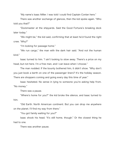"My name's Isaac Miller. I was told I could find Captain Conlan here."

There was another exchange of glances, then the kid spoke again. "Who told you that?"

"Dockmaster at the shipyards. Said the Good Fortune's breaking dock later today."

"We might be," the kid said, confirming that at least he'd found the right crew. "Why?"

"I'm looking for passage home."

"We run cargo," the man with the dark hair said. "And not the human kind."

Isaac turned to him. "I ain't looking to stow away. There's a price on my head, but not here. I'm a free man, and I can leave when I choose."

The man nodded. If the bounty bothered him, it didn't show. "Why don't you just book a berth on one of the passenger liners? It's the holiday season. There are shoppers coming and going every day this time of year."

Isaac hesitated. No sense in lying to someone you're asking help from. "No money."

There was a pause.

"Where's home for you?" the kid broke the silence, and Isaac turned to him.

"Old Earth. North American continent. But you can drop me anywhere on the planet. I'll find my way from there."

"You got family waiting for you?"

Isaac shook his head. "It's still home, though." Or the closest thing he had to one.

There was another pause.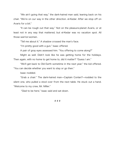"We ain't going that way," the dark-haired man said, leaning back on his chair. "We're on our way in the other direction. el-Kedar. After we stop off on Avaris for a bit."

"It can be rough out that way." Not on the pleasure-planet Avaris, or at least not in any way that mattered, but el-Kedar was no vacation spot. All those warrior-women.

"Tell me about it." A shadow crossed the man's face.

"I'm pretty good with a gun," Isaac offered.

A pair of gray eyes assessed him. "You offering to come along?"

Might as well. Didn't look like he was getting home for the holidays. Then again, with no home to get home to, did it matter? "Guess I am."

"We'll get back to Old Earth sometime in the next year," the kid offered. "You can decide whether you want to stay or go then."

Isaac nodded.

"Grab a chair." The dark-haired man̶Captain Conlan?̶nodded to the silent one, who pulled a stool over from the next table. He stuck out a hand. "Welcome to my crew, Mr. Miller."

"Glad to be here," Isaac said and sat down.

# # #